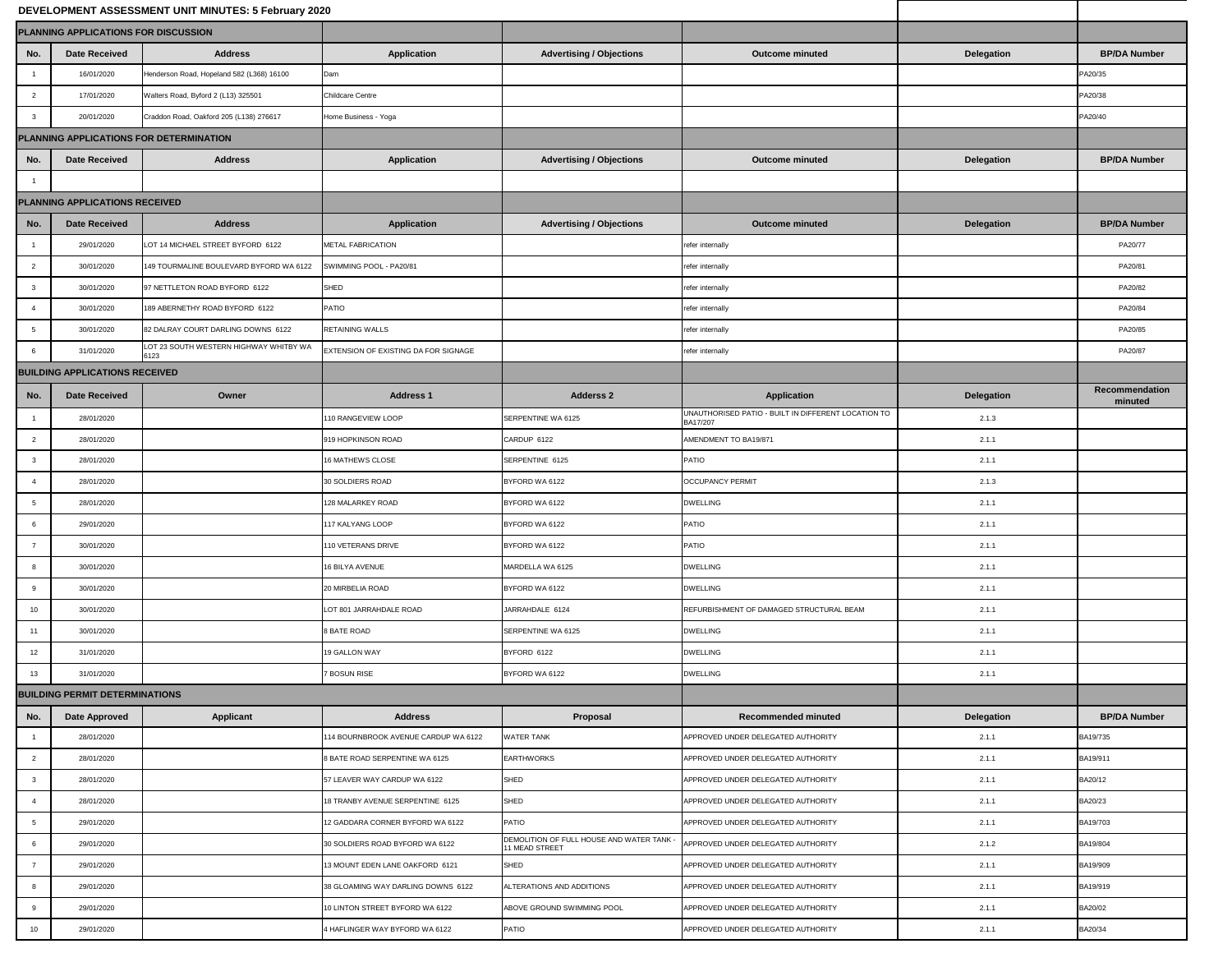|                 |                                       | DEVELOPMENT ASSESSMENT UNIT MINUTES: 5 February 2020 |                                             |                                                             |                                                                 |                   |                                  |
|-----------------|---------------------------------------|------------------------------------------------------|---------------------------------------------|-------------------------------------------------------------|-----------------------------------------------------------------|-------------------|----------------------------------|
|                 | PLANNING APPLICATIONS FOR DISCUSSION  |                                                      |                                             |                                                             |                                                                 |                   |                                  |
| No.             | <b>Date Received</b>                  | <b>Address</b>                                       | <b>Application</b>                          | <b>Advertising / Objections</b>                             | <b>Outcome minuted</b>                                          | <b>Delegation</b> | <b>BP/DA Number</b>              |
|                 | 16/01/2020                            | Henderson Road, Hopeland 582 (L368) 16100            | Dam                                         |                                                             |                                                                 |                   | PA20/35                          |
| $\overline{2}$  | 17/01/2020                            | Walters Road, Byford 2 (L13) 325501                  | <b>Childcare Centre</b>                     |                                                             |                                                                 |                   | PA20/38                          |
| -3              | 20/01/2020                            | Craddon Road, Oakford 205 (L138) 276617              | Home Business - Yoga                        |                                                             |                                                                 |                   | PA20/40                          |
|                 |                                       | PLANNING APPLICATIONS FOR DETERMINATION              |                                             |                                                             |                                                                 |                   |                                  |
| No.             | <b>Date Received</b>                  | <b>Address</b>                                       | <b>Application</b>                          | <b>Advertising / Objections</b>                             | <b>Outcome minuted</b>                                          | <b>Delegation</b> | <b>BP/DA Number</b>              |
|                 |                                       |                                                      |                                             |                                                             |                                                                 |                   |                                  |
|                 | <b>PLANNING APPLICATIONS RECEIVED</b> |                                                      |                                             |                                                             |                                                                 |                   |                                  |
| No.             | <b>Date Received</b>                  | <b>Address</b>                                       | <b>Application</b>                          | <b>Advertising / Objections</b>                             | <b>Outcome minuted</b>                                          | <b>Delegation</b> | <b>BP/DA Number</b>              |
|                 | 29/01/2020                            | LOT 14 MICHAEL STREET BYFORD 6122                    | <b>METAL FABRICATION</b>                    |                                                             | refer internally                                                |                   | PA20/77                          |
| $\overline{2}$  | 30/01/2020                            | 149 TOURMALINE BOULEVARD BYFORD WA 6122              | SWIMMING POOL - PA20/81                     |                                                             | refer internally                                                |                   | PA20/81                          |
| -3              | 30/01/2020                            | 97 NETTLETON ROAD BYFORD 6122                        | SHED                                        |                                                             | refer internally                                                |                   | PA20/82                          |
|                 | 30/01/2020                            | 189 ABERNETHY ROAD BYFORD 6122                       | PATIO                                       |                                                             | refer internally                                                |                   | PA20/84                          |
|                 | 30/01/2020                            | 82 DALRAY COURT DARLING DOWNS 6122                   | <b>RETAINING WALLS</b>                      |                                                             | refer internally                                                |                   | PA20/85                          |
| -6              | 31/01/2020                            | LOT 23 SOUTH WESTERN HIGHWAY WHITBY WA<br>6123       | <b>EXTENSION OF EXISTING DA FOR SIGNAGE</b> |                                                             | refer internally                                                |                   | PA20/87                          |
|                 | <b>BUILDING APPLICATIONS RECEIVED</b> |                                                      |                                             |                                                             |                                                                 |                   |                                  |
| No.             | <b>Date Received</b>                  | Owner                                                | <b>Address 1</b>                            | <b>Adderss 2</b>                                            | <b>Application</b>                                              | <b>Delegation</b> | <b>Recommendation</b><br>minuted |
|                 | 28/01/2020                            |                                                      | 110 RANGEVIEW LOOP                          | SERPENTINE WA 6125                                          | UNAUTHORISED PATIO - BUILT IN DIFFERENT LOCATION TO<br>BA17/207 | 2.1.3             |                                  |
| 2               | 28/01/2020                            |                                                      | 919 HOPKINSON ROAD                          | CARDUP 6122                                                 | AMENDMENT TO BA19/871                                           | 2.1.1             |                                  |
| $\mathbf{3}$    | 28/01/2020                            |                                                      | 16 MATHEWS CLOSE                            | SERPENTINE 6125                                             | PATIO                                                           | 2.1.1             |                                  |
|                 | 28/01/2020                            |                                                      | 30 SOLDIERS ROAD                            | BYFORD WA 6122                                              | <b>OCCUPANCY PERMIT</b>                                         | 2.1.3             |                                  |
| $5\,$           | 28/01/2020                            |                                                      | 128 MALARKEY ROAD                           | BYFORD WA 6122                                              | <b>DWELLING</b>                                                 | 2.1.1             |                                  |
| 6               | 29/01/2020                            |                                                      | 117 KALYANG LOOP                            | BYFORD WA 6122                                              | PATIO                                                           | 2.1.1             |                                  |
| $\overline{7}$  | 30/01/2020                            |                                                      | 110 VETERANS DRIVE                          | BYFORD WA 6122                                              | PATIO                                                           | 2.1.1             |                                  |
| 8               | 30/01/2020                            |                                                      | <b>16 BILYA AVENUE</b>                      | MARDELLA WA 6125                                            | <b>DWELLING</b>                                                 | 2.1.1             |                                  |
| 9               | 30/01/2020                            |                                                      | <b>20 MIRBELIA ROAD</b>                     | BYFORD WA 6122                                              | <b>DWELLING</b>                                                 | 2.1.1             |                                  |
| 10 <sup>1</sup> | 30/01/2020                            |                                                      | LOT 801 JARRAHDALE ROAD                     | JARRAHDALE 6124                                             | REFURBISHMENT OF DAMAGED STRUCTURAL BEAM                        | 2.1.1             |                                  |
| 11              | 30/01/2020                            |                                                      | 8 BATE ROAD                                 | SERPENTINE WA 6125                                          | <b>DWELLING</b>                                                 | 2.1.1             |                                  |
| 12              | 31/01/2020                            |                                                      | 19 GALLON WAY                               | BYFORD 6122                                                 | <b>DWELLING</b>                                                 | 2.1.1             |                                  |
| 13              | 31/01/2020                            |                                                      | 7 BOSUN RISE                                | BYFORD WA 6122                                              | <b>DWELLING</b>                                                 | 2.1.1             |                                  |
|                 | <b>BUILDING PERMIT DETERMINATIONS</b> |                                                      |                                             |                                                             |                                                                 |                   |                                  |
| No.             | <b>Date Approved</b>                  | <b>Applicant</b>                                     | <b>Address</b>                              | Proposal                                                    | <b>Recommended minuted</b>                                      | <b>Delegation</b> | <b>BP/DA Number</b>              |
|                 | 28/01/2020                            |                                                      | 114 BOURNBROOK AVENUE CARDUP WA 6122        | <b>WATER TANK</b>                                           | APPROVED UNDER DELEGATED AUTHORITY                              | 2.1.1             | BA19/735                         |
| $\overline{2}$  | 28/01/2020                            |                                                      | 8 BATE ROAD SERPENTINE WA 6125              | <b>EARTHWORKS</b>                                           | APPROVED UNDER DELEGATED AUTHORITY                              | 2.1.1             | BA19/911                         |
| $\mathbf{3}$    | 28/01/2020                            |                                                      | 57 LEAVER WAY CARDUP WA 6122                | <b>SHED</b>                                                 | APPROVED UNDER DELEGATED AUTHORITY                              | 2.1.1             | BA20/12                          |
|                 | 28/01/2020                            |                                                      | 18 TRANBY AVENUE SERPENTINE 6125            | SHED                                                        | APPROVED UNDER DELEGATED AUTHORITY                              | 2.1.1             | BA20/23                          |
| 5               | 29/01/2020                            |                                                      | 12 GADDARA CORNER BYFORD WA 6122            | <b>PATIO</b>                                                | APPROVED UNDER DELEGATED AUTHORITY                              | 2.1.1             | BA19/703                         |
| 6               | 29/01/2020                            |                                                      | 30 SOLDIERS ROAD BYFORD WA 6122             | DEMOLITION OF FULL HOUSE AND WATER TANK -<br>11 MEAD STREET | APPROVED UNDER DELEGATED AUTHORITY                              | 2.1.2             | BA19/804                         |
|                 | 29/01/2020                            |                                                      | 13 MOUNT EDEN LANE OAKFORD 6121             | <b>SHED</b>                                                 | APPROVED UNDER DELEGATED AUTHORITY                              | 2.1.1             | BA19/909                         |
| 8               | 29/01/2020                            |                                                      | 38 GLOAMING WAY DARLING DOWNS 6122          | ALTERATIONS AND ADDITIONS                                   | APPROVED UNDER DELEGATED AUTHORITY                              | 2.1.1             | BA19/919                         |
| 9               | 29/01/2020                            |                                                      | 10 LINTON STREET BYFORD WA 6122             | ABOVE GROUND SWIMMING POOL                                  | APPROVED UNDER DELEGATED AUTHORITY                              | 2.1.1             | BA20/02                          |
| 10              | 29/01/2020                            |                                                      | 4 HAFLINGER WAY BYFORD WA 6122              | <b>PATIO</b>                                                | APPROVED UNDER DELEGATED AUTHORITY                              | 2.1.1             | BA20/34                          |
|                 |                                       |                                                      |                                             |                                                             |                                                                 |                   |                                  |

| <b>her</b>  |  |
|-------------|--|
|             |  |
|             |  |
|             |  |
|             |  |
| <b>nber</b> |  |
|             |  |
|             |  |
| <b>iber</b> |  |
|             |  |
|             |  |
|             |  |
|             |  |
|             |  |
|             |  |
|             |  |
| lation<br>l |  |
|             |  |
|             |  |
|             |  |
|             |  |
|             |  |
|             |  |
|             |  |
|             |  |
|             |  |
|             |  |
|             |  |
|             |  |
|             |  |
|             |  |
| <b>hber</b> |  |
|             |  |
|             |  |
|             |  |
|             |  |
|             |  |
|             |  |
|             |  |
|             |  |
|             |  |
|             |  |